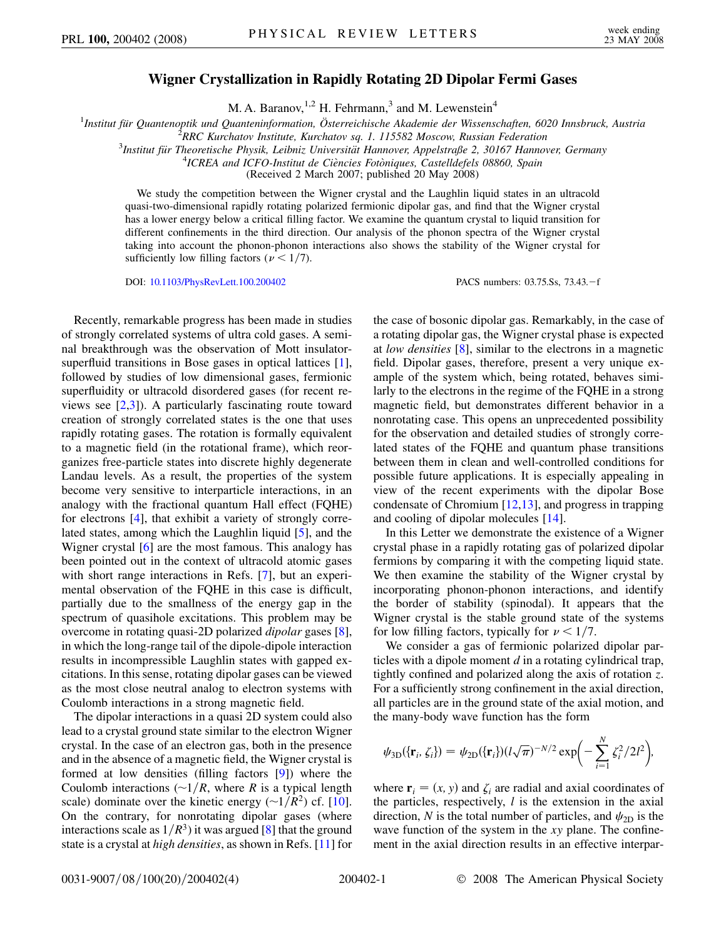## **Wigner Crystallization in Rapidly Rotating 2D Dipolar Fermi Gases**

M. A. Baranov,  $^{1,2}$  H. Fehrmann,<sup>3</sup> and M. Lewenstein<sup>4</sup>

<sup>1</sup>Institut für Quantenoptik und Quanteninformation, Österreichische Akademie der Wissenschaften, 6020 Innsbruck, Austria<br><sup>2</sup>PPC Kurchatov Institute, Kurchatov sa. 1, 115582 Moscow, Bussian Eederation

*RRC Kurchatov Institute, Kurchatov sq. 1. 115582 Moscow, Russian Federation* <sup>3</sup>

*Institut fu¨r Theoretische Physik, Leibniz Universita¨t Hannover, Appelstraße 2, 30167 Hannover, Germany* <sup>4</sup>

<sup>4</sup>ICREA and ICFO-Institut de Ciències Fotòniques, Castelldefels 08860, Spain

(Received 2 March 2007; published 20 May 2008)

We study the competition between the Wigner crystal and the Laughlin liquid states in an ultracold quasi-two-dimensional rapidly rotating polarized fermionic dipolar gas, and find that the Wigner crystal has a lower energy below a critical filling factor. We examine the quantum crystal to liquid transition for different confinements in the third direction. Our analysis of the phonon spectra of the Wigner crystal taking into account the phonon-phonon interactions also shows the stability of the Wigner crystal for sufficiently low filling factors ( $\nu$  < 1/7).

DOI: [10.1103/PhysRevLett.100.200402](http://dx.doi.org/10.1103/PhysRevLett.100.200402) PACS numbers: 03.75.Ss, 73.43. - f

Recently, remarkable progress has been made in studies of strongly correlated systems of ultra cold gases. A seminal breakthrough was the observation of Mott insulatorsuperfluid transitions in Bose gases in optical lattices [[1\]](#page-3-0), followed by studies of low dimensional gases, fermionic superfluidity or ultracold disordered gases (for recent reviews see  $[2,3]$  $[2,3]$  $[2,3]$ ). A particularly fascinating route toward creation of strongly correlated states is the one that uses rapidly rotating gases. The rotation is formally equivalent to a magnetic field (in the rotational frame), which reorganizes free-particle states into discrete highly degenerate Landau levels. As a result, the properties of the system become very sensitive to interparticle interactions, in an analogy with the fractional quantum Hall effect (FQHE) for electrons [\[4](#page-3-3)], that exhibit a variety of strongly correlated states, among which the Laughlin liquid [[5](#page-3-4)], and the Wigner crystal [[6](#page-3-5)] are the most famous. This analogy has been pointed out in the context of ultracold atomic gases with short range interactions in Refs. [\[7](#page-3-6)], but an experimental observation of the FQHE in this case is difficult, partially due to the smallness of the energy gap in the spectrum of quasihole excitations. This problem may be overcome in rotating quasi-2D polarized *dipolar* gases [[8\]](#page-3-7), in which the long-range tail of the dipole-dipole interaction results in incompressible Laughlin states with gapped excitations. In this sense, rotating dipolar gases can be viewed as the most close neutral analog to electron systems with Coulomb interactions in a strong magnetic field.

The dipolar interactions in a quasi 2D system could also lead to a crystal ground state similar to the electron Wigner crystal. In the case of an electron gas, both in the presence and in the absence of a magnetic field, the Wigner crystal is formed at low densities (filling factors [\[9\]](#page-3-8)) where the Coulomb interactions  $\left(\frac{-1}{R}\right)$ , where *R* is a typical length scale) dominate over the kinetic energy  $(\sim 1/R^2)$  cf. [\[10\]](#page-3-9). On the contrary, for nonrotating dipolar gases (where interactions scale as  $1/R<sup>3</sup>$ ) it was argued [\[8](#page-3-7)] that the ground state is a crystal at *high densities*, as shown in Refs. [[11](#page-3-10)] for the case of bosonic dipolar gas. Remarkably, in the case of a rotating dipolar gas, the Wigner crystal phase is expected at *low densities* [\[8\]](#page-3-7), similar to the electrons in a magnetic field. Dipolar gases, therefore, present a very unique example of the system which, being rotated, behaves similarly to the electrons in the regime of the FQHE in a strong magnetic field, but demonstrates different behavior in a nonrotating case. This opens an unprecedented possibility for the observation and detailed studies of strongly correlated states of the FQHE and quantum phase transitions between them in clean and well-controlled conditions for possible future applications. It is especially appealing in view of the recent experiments with the dipolar Bose condensate of Chromium [[12](#page-3-11),[13](#page-3-12)], and progress in trapping and cooling of dipolar molecules [\[14\]](#page-3-13).

In this Letter we demonstrate the existence of a Wigner crystal phase in a rapidly rotating gas of polarized dipolar fermions by comparing it with the competing liquid state. We then examine the stability of the Wigner crystal by incorporating phonon-phonon interactions, and identify the border of stability (spinodal). It appears that the Wigner crystal is the stable ground state of the systems for low filling factors, typically for  $\nu < 1/7$ .

We consider a gas of fermionic polarized dipolar particles with a dipole moment *d* in a rotating cylindrical trap, tightly confined and polarized along the axis of rotation *z*. For a sufficiently strong confinement in the axial direction, all particles are in the ground state of the axial motion, and the many-body wave function has the form

$$
\psi_{3D}(\{\mathbf{r}_i, \zeta_i\}) = \psi_{2D}(\{\mathbf{r}_i\}) (l\sqrt{\pi})^{-N/2} \exp\biggl(-\sum_{i=1}^N \zeta_i^2/2l^2\biggr),
$$

where  $\mathbf{r}_i = (x, y)$  and  $\zeta_i$  are radial and axial coordinates of the particles, respectively, *l* is the extension in the axial direction, *N* is the total number of particles, and  $\psi_{2D}$  is the wave function of the system in the *xy* plane. The confinement in the axial direction results in an effective interpar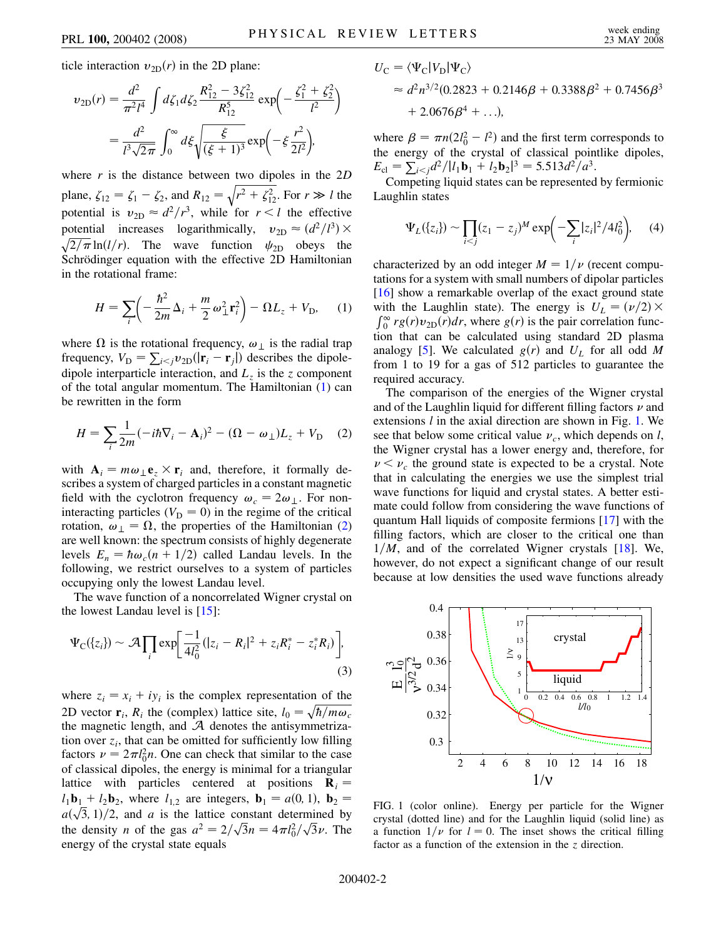ticle interaction  $v_{2D}(r)$  in the 2D plane:

$$
\begin{split} v_{2\text{D}}(r) &= \frac{d^2}{\pi^2 l^4} \int d\zeta_1 d\zeta_2 \frac{R_{12}^2 - 3\zeta_{12}^2}{R_{12}^5} \exp\left(-\frac{\zeta_1^2 + \zeta_2^2}{l^2}\right) \\ &= \frac{d^2}{l^3 \sqrt{2\pi}} \int_0^\infty d\zeta \sqrt{\frac{\xi}{(\xi+1)^3}} \exp\left(-\xi \frac{r^2}{2l^2}\right), \end{split}
$$

where *r* is the distance between two dipoles in the 2*D* plane,  $\zeta_{12} = \zeta_1 - \zeta_2$ , and  $R_{12} =$  $\sqrt{r^2 + \zeta_{12}^2}$ . For  $r \gg l$  the potential is  $v_{2D} \approx d^2/r^3$ , while for  $r < l$  the effective potential increases logarithmically,  $v_{2D} \approx (d^2/l^3) \times$  $\sqrt{2/\pi} \ln(l/r)$ . The wave function  $\psi_{2D}$  obeys the Schrödinger equation with the effective 2D Hamiltonian in the rotational frame:

<span id="page-1-0"></span>
$$
H = \sum_{i} \left( -\frac{\hbar^2}{2m} \Delta_i + \frac{m}{2} \omega_{\perp}^2 \mathbf{r}_i^2 \right) - \Omega L_z + V_{\text{D}}, \quad (1)
$$

where  $\Omega$  is the rotational frequency,  $\omega_{\perp}$  is the radial trap frequency,  $V_{\text{D}} = \sum_{i \leq j} v_{\text{2D}}(|\mathbf{r}_i - \mathbf{r}_j|)$  describes the dipoledipole interparticle interaction, and  $L<sub>z</sub>$  is the *z* component of the total angular momentum. The Hamiltonian [\(1\)](#page-1-0) can be rewritten in the form

<span id="page-1-1"></span>
$$
H = \sum_{i} \frac{1}{2m} (-i\hbar \nabla_i - \mathbf{A}_i)^2 - (\Omega - \omega_{\perp})L_z + V_{\text{D}} \quad (2)
$$

with  $A_i = m\omega_1 e_z \times r_i$  and, therefore, it formally describes a system of charged particles in a constant magnetic field with the cyclotron frequency  $\omega_c = 2\omega_{\perp}$ . For noninteracting particles ( $V<sub>D</sub> = 0$ ) in the regime of the critical rotation,  $\omega_{\perp} = \Omega$ , the properties of the Hamiltonian [\(2\)](#page-1-1) are well known: the spectrum consists of highly degenerate levels  $E_n = \hbar \omega_c (n + 1/2)$  called Landau levels. In the following, we restrict ourselves to a system of particles occupying only the lowest Landau level.

The wave function of a noncorrelated Wigner crystal on the lowest Landau level is  $[15]$ :

$$
\Psi_{\rm C}(\{z_i\}) \sim \mathcal{A} \prod_i \exp \biggl[ \frac{-1}{4l_0^2} (|z_i - R_i|^2 + z_i R_i^* - z_i^* R_i) \biggr],\tag{3}
$$

where  $z_i = x_i + iy_i$  is the complex representation of the 2D vector  $\mathbf{r}_i$ ,  $R_i$  the (complex) lattice site,  $l_0 = \sqrt{\hbar/m\omega_c}$ the magnetic length, and  $A$  denotes the antisymmetrization over  $z_i$ , that can be omitted for sufficiently low filling factors  $\nu = 2\pi l_0^2 n$ . One can check that similar to the case of classical dipoles, the energy is minimal for a triangular lattice with particles centered at positions  $\mathbf{R}_i =$  $l_1$ **b**<sub>1</sub> +  $l_2$ **b**<sub>2</sub>, where  $l_{1,2}$  are integers, **b**<sub>1</sub> =  $a(0, 1)$ , **b**<sub>2</sub> =  $a_1 \mathbf{b}_1 + a_2 \mathbf{b}_2$ , where  $a_{1,2}$  are integers,  $\mathbf{b}_1 - a(0, 1)$ ,  $\mathbf{b}_2 - a(\sqrt{3}, 1)/2$ , and *a* is the lattice constant determined by the density *n* of the gas  $a^2 = 2/\sqrt{3}n = 4\pi l_0^2/\sqrt{3}\nu$ . The energy of the crystal state equals

$$
U_{\rm C} = \langle \Psi_{\rm C} | V_{\rm D} | \Psi_{\rm C} \rangle
$$
  
\n
$$
\approx d^2 n^{3/2} (0.2823 + 0.2146\beta + 0.3388\beta^2 + 0.7456\beta^3 + 2.0676\beta^4 + \ldots),
$$

where  $\beta = \pi n(2l_0^2 - l^2)$  and the first term corresponds to the energy of the crystal of classical pointlike dipoles,  $E_{\text{cl}} = \sum_{i < j} d^2 / |l_1 \mathbf{b}_1 + l_2 \mathbf{b}_2|^3 = 5.513 d^2 / a^3.$ 

Competing liquid states can be represented by fermionic Laughlin states

$$
\Psi_L(\{z_i\}) \sim \prod_{i < j} (z_1 - z_j)^M \exp\biggl(-\sum_i |z_i|^2 / 4l_0^2\biggr), \qquad (4)
$$

characterized by an odd integer  $M = 1/\nu$  (recent computations for a system with small numbers of dipolar particles [\[16\]](#page-3-15) show a remarkable overlap of the exact ground state with the Laughlin state). The energy is  $U_L = (\nu/2) \times$  $\int_0^\infty r g(r) v_{2D}(r) dr$ , where  $g(r)$  is the pair correlation function that can be calculated using standard 2D plasma analogy [\[5\]](#page-3-4). We calculated  $g(r)$  and  $U<sub>L</sub>$  for all odd *M* from 1 to 19 for a gas of 512 particles to guarantee the required accuracy.

The comparison of the energies of the Wigner crystal and of the Laughlin liquid for different filling factors  $\nu$  and extensions *l* in the axial direction are shown in Fig. [1.](#page-1-2) We see that below some critical value  $\nu_c$ , which depends on *l*, the Wigner crystal has a lower energy and, therefore, for  $\nu < \nu_c$  the ground state is expected to be a crystal. Note that in calculating the energies we use the simplest trial wave functions for liquid and crystal states. A better estimate could follow from considering the wave functions of quantum Hall liquids of composite fermions [[17](#page-3-16)] with the filling factors, which are closer to the critical one than  $1/M$ , and of the correlated Wigner crystals  $[18]$  $[18]$ . We, however, do not expect a significant change of our result because at low densities the used wave functions already

<span id="page-1-2"></span>

FIG. 1 (color online). Energy per particle for the Wigner crystal (dotted line) and for the Laughlin liquid (solid line) as a function  $1/\nu$  for  $l=0$ . The inset shows the critical filling factor as a function of the extension in the *z* direction.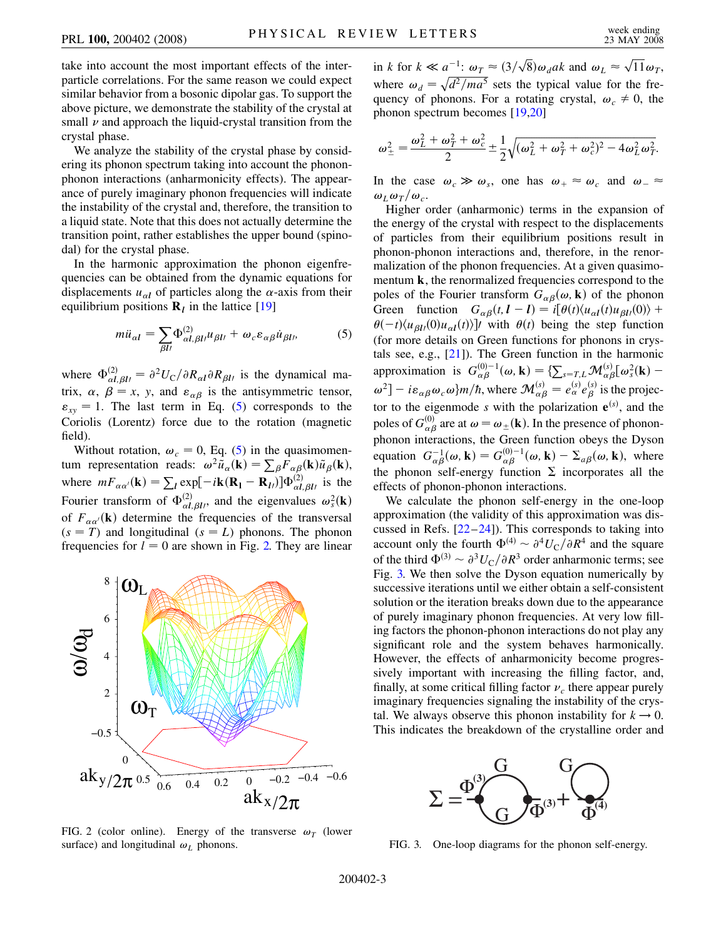take into account the most important effects of the interparticle correlations. For the same reason we could expect similar behavior from a bosonic dipolar gas. To support the above picture, we demonstrate the stability of the crystal at small  $\nu$  and approach the liquid-crystal transition from the crystal phase.

We analyze the stability of the crystal phase by considering its phonon spectrum taking into account the phononphonon interactions (anharmonicity effects). The appearance of purely imaginary phonon frequencies will indicate the instability of the crystal and, therefore, the transition to a liquid state. Note that this does not actually determine the transition point, rather establishes the upper bound (spinodal) for the crystal phase.

<span id="page-2-0"></span>In the harmonic approximation the phonon eigenfrequencies can be obtained from the dynamic equations for displacements  $u_{\alpha l}$  of particles along the  $\alpha$ -axis from their equilibrium positions  $\mathbf{R}_l$  in the lattice [\[19](#page-3-18)]

$$
m\ddot{u}_{\alpha l} = \sum_{\beta l l} \Phi_{\alpha l, \beta l l}^{(2)} u_{\beta l l} + \omega_c \varepsilon_{\alpha \beta} \dot{u}_{\beta l}, \tag{5}
$$

where  $\Phi_{\alpha l, \beta l}^{(2)} = \partial^2 U_C / \partial R_{\alpha l} \partial R_{\beta l}$  is the dynamical matrix,  $\alpha$ ,  $\beta = x$ , y, and  $\varepsilon_{\alpha\beta}$  is the antisymmetric tensor,  $\varepsilon_{xy} = 1$ . The last term in Eq. [\(5](#page-2-0)) corresponds to the Coriolis (Lorentz) force due to the rotation (magnetic field).

Without rotation,  $\omega_c = 0$ , Eq. [\(5](#page-2-0)) in the quasimomentum representation reads:  $\omega^2 \tilde{u}_\alpha(\mathbf{k}) = \sum_\beta F_{\alpha\beta}(\mathbf{k}) \tilde{u}_\beta(\mathbf{k}),$ where  $mF_{\alpha\alpha}(\mathbf{k}) = \sum_l \exp[-i\mathbf{k}(\mathbf{R}_l - \mathbf{R}_l)]\Phi_{\alpha l, \beta l}^{(2)}$  is the Fourier transform of  $\Phi_{\alpha l, \beta l}^{(2)}$ , and the eigenvalues  $\omega_s^2(\mathbf{k})$ of  $F_{\alpha\alpha'}({\bf k})$  determine the frequencies of the transversal  $(s = T)$  and longitudinal  $(s = L)$  phonons. The phonon frequencies for  $l = 0$  are shown in Fig. [2.](#page-2-1) They are linear

<span id="page-2-1"></span>

FIG. 2 (color online). Energy of the transverse  $\omega_T$  (lower surface) and longitudinal  $\omega_L$  phonons.

in *k* for  $k \ll a^{-1}$ :  $\omega_T \approx (3/\sqrt{8}) \omega_d ak$  and  $\omega_L \approx \sqrt{11} \omega_T$ , where  $\omega_d = \sqrt{d^2/ma^5}$  sets the typical value for the frequency of phonons. For a rotating crystal,  $\omega_c \neq 0$ , the phonon spectrum becomes [\[19](#page-3-18)[,20\]](#page-3-19)

$$
\omega_{\pm}^{2} = \frac{\omega_{L}^{2} + \omega_{T}^{2} + \omega_{c}^{2}}{2} \pm \frac{1}{2} \sqrt{(\omega_{L}^{2} + \omega_{T}^{2} + \omega_{c}^{2})^{2} - 4\omega_{L}^{2}\omega_{T}^{2}}.
$$

In the case  $\omega_c \gg \omega_s$ , one has  $\omega_+ \approx \omega_c$  and  $\omega_- \approx$  $\omega_L \omega_T/\omega_c$ .

Higher order (anharmonic) terms in the expansion of the energy of the crystal with respect to the displacements of particles from their equilibrium positions result in phonon-phonon interactions and, therefore, in the renormalization of the phonon frequencies. At a given quasimomentum **k**, the renormalized frequencies correspond to the poles of the Fourier transform  $G_{\alpha\beta}(\omega, \mathbf{k})$  of the phonon Green function  $G_{\alpha\beta}(t, l - l) = i[\theta(t)\langle u_{\alpha l}(t)u_{\beta l}(0)\rangle +$  $\theta(-t)\langle u_{\beta l}(0)u_{\alpha l}(t)\rangle$  with  $\theta(t)$  being the step function (for more details on Green functions for phonons in crystals see, e.g., [[21](#page-3-20)]). The Green function in the harmonic approximation is  $G_{\alpha\beta}^{(0)-1}(\omega, \mathbf{k}) = \sum_{s=T,L} \mathcal{M}_{\alpha\beta}^{(s)}[\omega_s^2(\mathbf{k}) \omega^2$ ] – *i* $\varepsilon_{\alpha\beta}\omega_c\omega$ }*m*/*h*, where  $\mathcal{M}^{(s)}_{\alpha\beta} = e^{(s)}_{\alpha}e^{(s)}_{\beta}$  is the projector to the eigenmode *s* with the polarization  $e^{(s)}$ , and the poles of  $G^{(0)}_{\alpha\beta}$  are at  $\omega = \omega_{\pm}(\mathbf{k})$ . In the presence of phononphonon interactions, the Green function obeys the Dyson equation  $G_{\alpha\beta}^{-1}(\omega, \mathbf{k}) = G_{\alpha\beta}^{(0)-1}(\omega, \mathbf{k}) - \sum_{a\beta} (\omega, \mathbf{k}),$  where the phonon self-energy function  $\Sigma$  incorporates all the effects of phonon-phonon interactions.

We calculate the phonon self-energy in the one-loop approximation (the validity of this approximation was discussed in Refs.  $[22-24]$  $[22-24]$  $[22-24]$  $[22-24]$ ). This corresponds to taking into account only the fourth  $\Phi^{(4)} \sim \partial^4 U_C / \partial R^4$  and the square of the third  $\Phi^{(3)} \sim \partial^3 U_C / \partial R^3$  order anharmonic terms; see Fig. [3.](#page-2-2) We then solve the Dyson equation numerically by successive iterations until we either obtain a self-consistent solution or the iteration breaks down due to the appearance of purely imaginary phonon frequencies. At very low filling factors the phonon-phonon interactions do not play any significant role and the system behaves harmonically. However, the effects of anharmonicity become progressively important with increasing the filling factor, and, finally, at some critical filling factor  $\nu_c$  there appear purely imaginary frequencies signaling the instability of the crystal. We always observe this phonon instability for  $k \to 0$ .

<span id="page-2-2"></span>

FIG. 3. One-loop diagrams for the phonon self-energy.